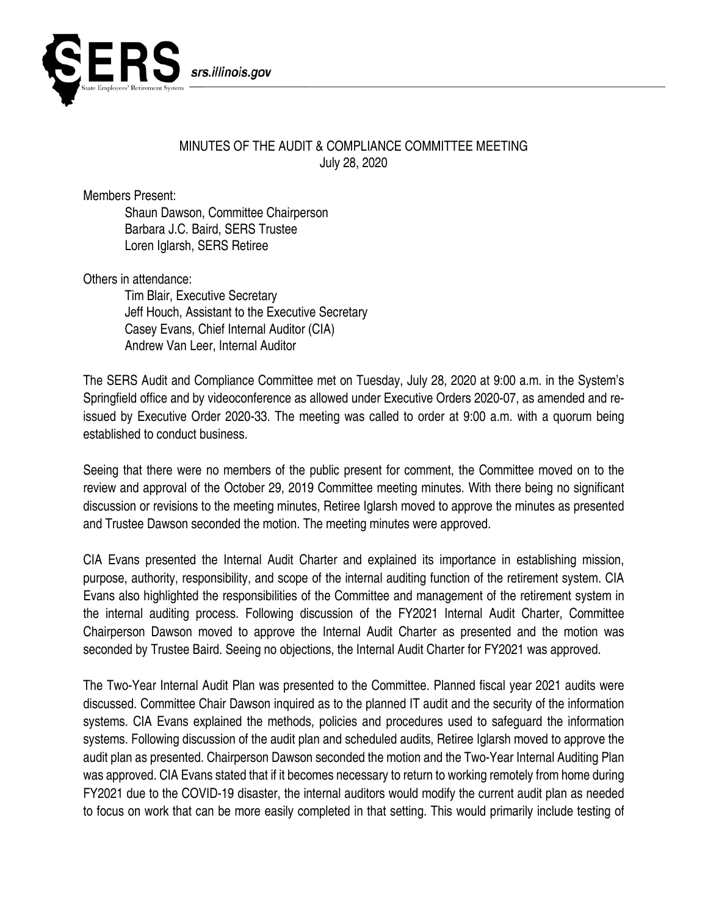

## MINUTES OF THE AUDIT & COMPLIANCE COMMITTEE MEETING July 28, 2020

Members Present:

Shaun Dawson, Committee Chairperson Barbara J.C. Baird, SERS Trustee Loren Iglarsh, SERS Retiree

Others in attendance:

Tim Blair, Executive Secretary Jeff Houch, Assistant to the Executive Secretary Casey Evans, Chief Internal Auditor (CIA) Andrew Van Leer, Internal Auditor

The SERS Audit and Compliance Committee met on Tuesday, July 28, 2020 at 9:00 a.m. in the System's Springfield office and by videoconference as allowed under Executive Orders 2020-07, as amended and reissued by Executive Order 2020-33. The meeting was called to order at 9:00 a.m. with a quorum being established to conduct business.

Seeing that there were no members of the public present for comment, the Committee moved on to the review and approval of the October 29, 2019 Committee meeting minutes. With there being no significant discussion or revisions to the meeting minutes, Retiree Iglarsh moved to approve the minutes as presented and Trustee Dawson seconded the motion. The meeting minutes were approved.

CIA Evans presented the Internal Audit Charter and explained its importance in establishing mission, purpose, authority, responsibility, and scope of the internal auditing function of the retirement system. CIA Evans also highlighted the responsibilities of the Committee and management of the retirement system in the internal auditing process. Following discussion of the FY2021 Internal Audit Charter, Committee Chairperson Dawson moved to approve the Internal Audit Charter as presented and the motion was seconded by Trustee Baird. Seeing no objections, the Internal Audit Charter for FY2021 was approved.

The Two-Year Internal Audit Plan was presented to the Committee. Planned fiscal year 2021 audits were discussed. Committee Chair Dawson inquired as to the planned IT audit and the security of the information systems. CIA Evans explained the methods, policies and procedures used to safeguard the information systems. Following discussion of the audit plan and scheduled audits, Retiree Iglarsh moved to approve the audit plan as presented. Chairperson Dawson seconded the motion and the Two-Year Internal Auditing Plan was approved. CIA Evans stated that if it becomes necessary to return to working remotely from home during FY2021 due to the COVID-19 disaster, the internal auditors would modify the current audit plan as needed to focus on work that can be more easily completed in that setting. This would primarily include testing of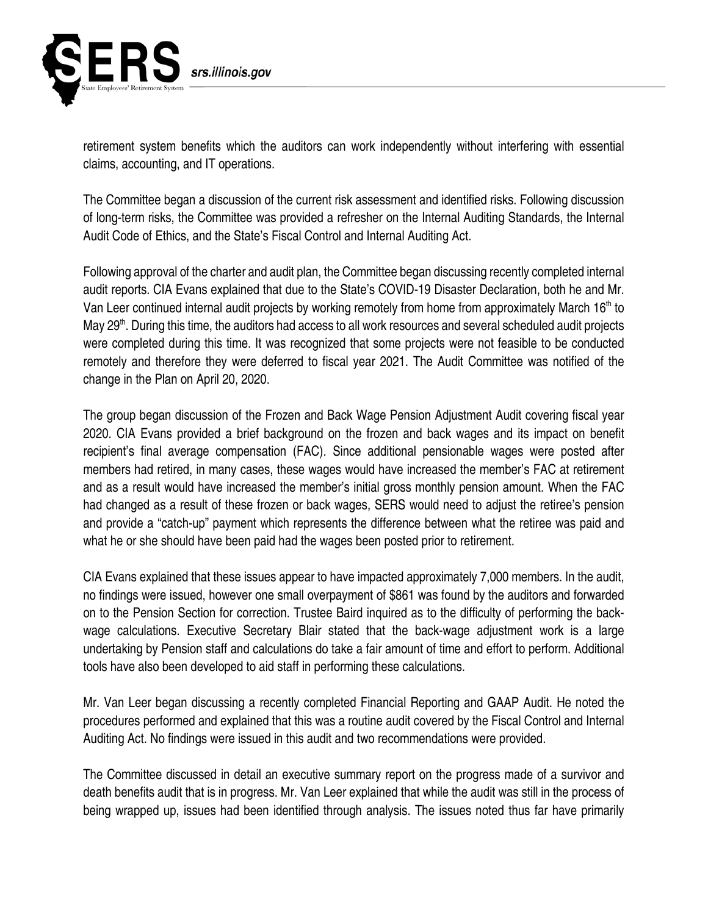

retirement system benefits which the auditors can work independently without interfering with essential claims, accounting, and IT operations.

The Committee began a discussion of the current risk assessment and identified risks. Following discussion of long-term risks, the Committee was provided a refresher on the Internal Auditing Standards, the Internal Audit Code of Ethics, and the State's Fiscal Control and Internal Auditing Act.

Following approval of the charter and audit plan, the Committee began discussing recently completed internal audit reports. CIA Evans explained that due to the State's COVID-19 Disaster Declaration, both he and Mr. Van Leer continued internal audit projects by working remotely from home from approximately March 16<sup>th</sup> to May 29<sup>th</sup>. During this time, the auditors had access to all work resources and several scheduled audit projects were completed during this time. It was recognized that some projects were not feasible to be conducted remotely and therefore they were deferred to fiscal year 2021. The Audit Committee was notified of the change in the Plan on April 20, 2020.

The group began discussion of the Frozen and Back Wage Pension Adjustment Audit covering fiscal year 2020. CIA Evans provided a brief background on the frozen and back wages and its impact on benefit recipient's final average compensation (FAC). Since additional pensionable wages were posted after members had retired, in many cases, these wages would have increased the member's FAC at retirement and as a result would have increased the member's initial gross monthly pension amount. When the FAC had changed as a result of these frozen or back wages, SERS would need to adjust the retiree's pension and provide a "catch-up" payment which represents the difference between what the retiree was paid and what he or she should have been paid had the wages been posted prior to retirement.

CIA Evans explained that these issues appear to have impacted approximately 7,000 members. In the audit, no findings were issued, however one small overpayment of \$861 was found by the auditors and forwarded on to the Pension Section for correction. Trustee Baird inquired as to the difficulty of performing the backwage calculations. Executive Secretary Blair stated that the back-wage adjustment work is a large undertaking by Pension staff and calculations do take a fair amount of time and effort to perform. Additional tools have also been developed to aid staff in performing these calculations.

Mr. Van Leer began discussing a recently completed Financial Reporting and GAAP Audit. He noted the procedures performed and explained that this was a routine audit covered by the Fiscal Control and Internal Auditing Act. No findings were issued in this audit and two recommendations were provided.

The Committee discussed in detail an executive summary report on the progress made of a survivor and death benefits audit that is in progress. Mr. Van Leer explained that while the audit was still in the process of being wrapped up, issues had been identified through analysis. The issues noted thus far have primarily